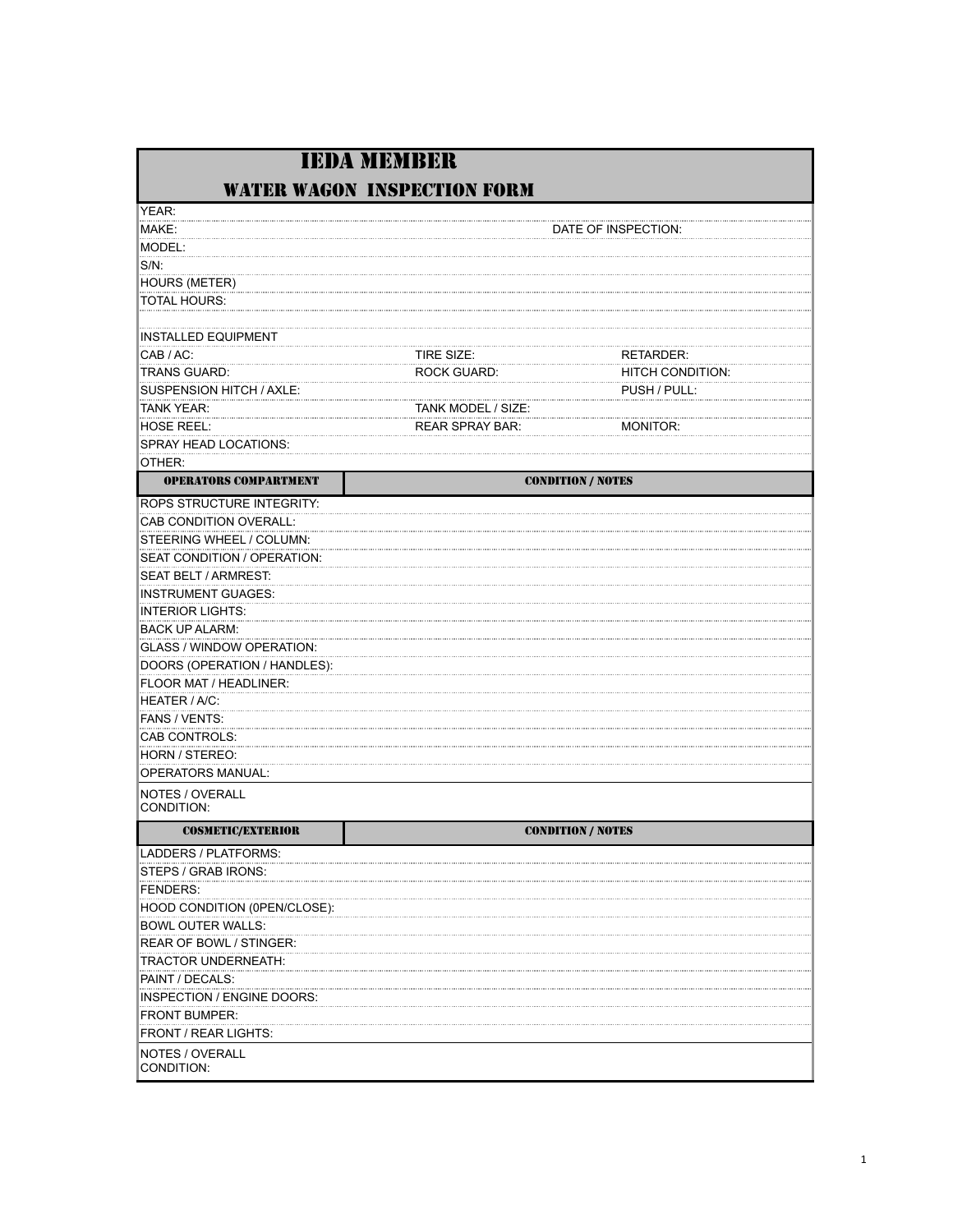|                                   | <b>IEDA MEMBER</b>                 |                         |
|-----------------------------------|------------------------------------|-------------------------|
|                                   | <b>WATER WAGON INSPECTION FORM</b> |                         |
| YEAR:                             |                                    |                         |
| MAKE:                             |                                    | DATE OF INSPECTION:     |
| MODEL:                            |                                    |                         |
| S/N:                              |                                    |                         |
| HOURS (METER)                     |                                    |                         |
| TOTAL HOURS:                      |                                    |                         |
|                                   |                                    |                         |
| <b>INSTALLED EQUIPMENT</b>        |                                    |                         |
| CAB / AC:                         | TIRE SIZE:                         | RETARDER:               |
| TRANS GUARD:                      | <b>ROCK GUARD:</b>                 | <b>HITCH CONDITION:</b> |
| SUSPENSION HITCH / AXLE:          |                                    | PUSH / PULL:            |
| TANK YEAR:                        | TANK MODEL / SIZE:                 |                         |
| HOSE REEL:                        | <b>REAR SPRAY BAR:</b>             | MONITOR:                |
| SPRAY HEAD LOCATIONS:             |                                    |                         |
| OTHER:                            |                                    |                         |
| <b>OPERATORS COMPARTMENT</b>      | <b>CONDITION / NOTES</b>           |                         |
| ROPS STRUCTURE INTEGRITY:         |                                    |                         |
| CAB CONDITION OVERALL:            |                                    |                         |
| STEERING WHEEL / COLUMN:          |                                    |                         |
| SEAT CONDITION / OPERATION:       |                                    |                         |
| SEAT BELT / ARMREST:              |                                    |                         |
| <b>INSTRUMENT GUAGES:</b>         |                                    |                         |
| INTERIOR LIGHTS:                  |                                    |                         |
| <b>BACK UP ALARM:</b>             |                                    |                         |
| GLASS / WINDOW OPERATION:         |                                    |                         |
| DOORS (OPERATION / HANDLES):      |                                    |                         |
| FLOOR MAT / HEADLINER:            |                                    |                         |
| <b>HEATER / A/C:</b>              |                                    |                         |
| FANS / VENTS:                     |                                    |                         |
| CAB CONTROLS:                     |                                    |                         |
| HORN / STEREO:                    |                                    |                         |
| <b>OPERATORS MANUAL:</b>          |                                    |                         |
| NOTES / OVERALL<br>CONDITION:     |                                    |                         |
| <b>COSMETIC/EXTERIOR</b>          | <b>CONDITION / NOTES</b>           |                         |
| LADDERS / PLATFORMS:              |                                    |                         |
| STEPS / GRAB IRONS:               |                                    |                         |
| FENDERS:                          |                                    |                         |
| HOOD CONDITION (0PEN/CLOSE):      |                                    |                         |
| <b>BOWL OUTER WALLS:</b>          |                                    |                         |
| REAR OF BOWL / STINGER:           |                                    |                         |
| TRACTOR UNDERNEATH:               |                                    |                         |
| PAINT / DECALS:                   |                                    |                         |
| <b>INSPECTION / ENGINE DOORS:</b> |                                    |                         |
| <b>FRONT BUMPER:</b>              |                                    |                         |
| <b>FRONT / REAR LIGHTS:</b>       |                                    |                         |
| NOTES / OVERALL<br>CONDITION:     |                                    |                         |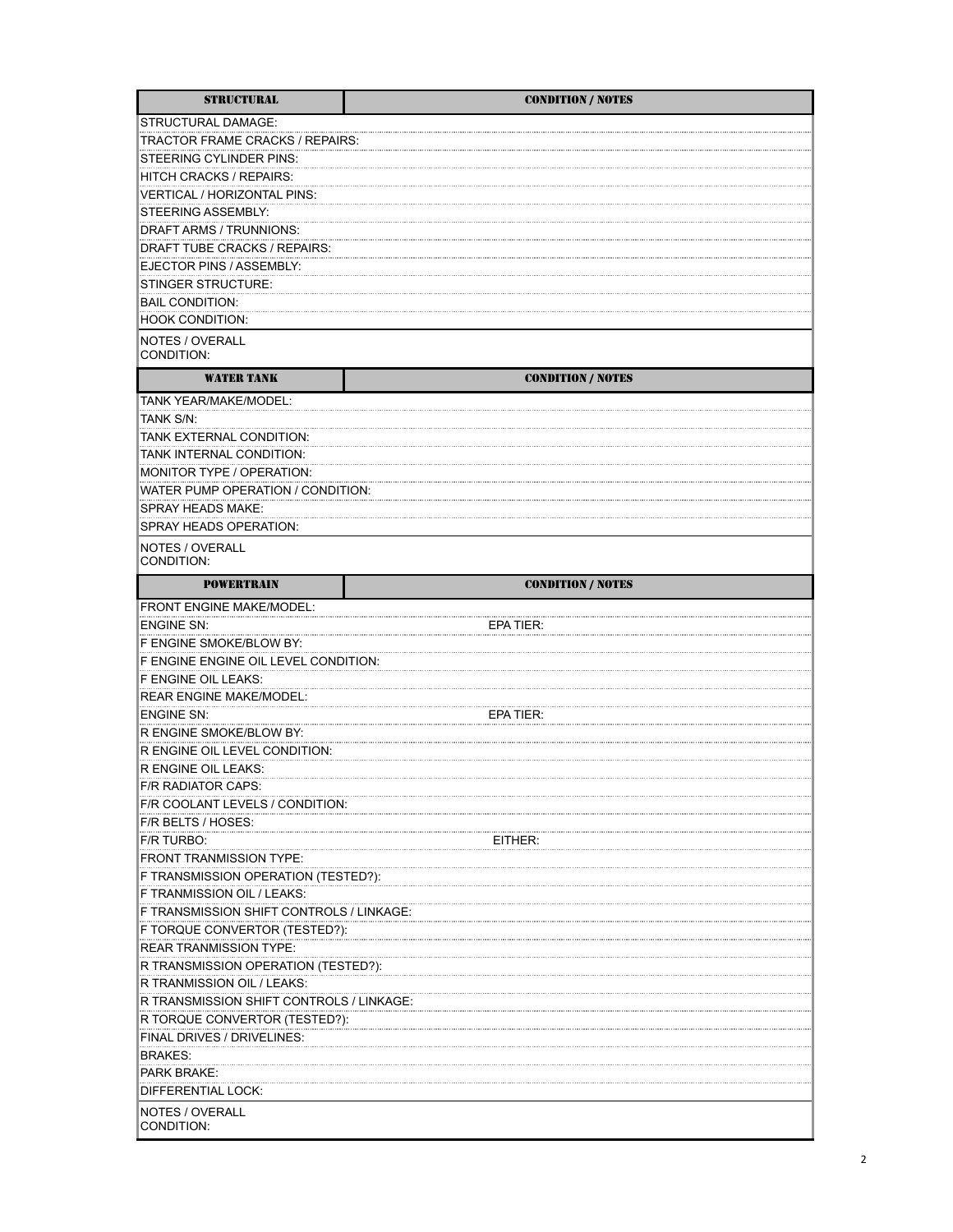| <b>STRUCTURAL</b>                        | <b>CONDITION / NOTES</b> |
|------------------------------------------|--------------------------|
| STRUCTURAL DAMAGE:                       |                          |
| TRACTOR FRAME CRACKS / REPAIRS:          |                          |
| STEERING CYLINDER PINS:                  |                          |
| HITCH CRACKS / REPAIRS:                  |                          |
| VERTICAL / HORIZONTAL PINS:              |                          |
| STEERING ASSEMBLY:                       |                          |
| DRAFT ARMS / TRUNNIONS:                  |                          |
| DRAFT TUBE CRACKS / REPAIRS:             |                          |
| EJECTOR PINS / ASSEMBLY:                 |                          |
| STINGER STRUCTURE:                       |                          |
| <b>BAIL CONDITION:</b>                   |                          |
| <b>HOOK CONDITION:</b>                   |                          |
|                                          |                          |
| NOTES / OVERALL<br>CONDITION:            |                          |
| WATER TANK                               | <b>CONDITION / NOTES</b> |
| TANK YEAR/MAKE/MODEL:                    |                          |
| TANK S/N:                                |                          |
| TANK EXTERNAL CONDITION:                 |                          |
| TANK INTERNAL CONDITION:                 |                          |
| MONITOR TYPE / OPERATION:                |                          |
| WATER PUMP OPERATION / CONDITION:        |                          |
| SPRAY HEADS MAKE:                        |                          |
|                                          |                          |
| SPRAY HEADS OPERATION:                   |                          |
| NOTES / OVERALL<br>CONDITION:            |                          |
| <b>POWERTRAIN</b>                        | <b>CONDITION / NOTES</b> |
| <b>FRONT ENGINE MAKE/MODEL:</b>          |                          |
| <b>ENGINE SN:</b>                        | EPA TIER:                |
| F ENGINE SMOKE/BLOW BY:                  |                          |
| F ENGINE ENGINE OIL LEVEL CONDITION:     |                          |
| F ENGINE OIL LEAKS:                      |                          |
| <b>REAR ENGINE MAKE/MODEL:</b>           |                          |
| <b>ENGINE SN:</b>                        | EPA TIER:                |
| R ENGINE SMOKE/BLOW BY:                  |                          |
| R ENGINE OIL LEVEL CONDITION:            |                          |
| R ENGINE OIL LEAKS:                      |                          |
| F/R RADIATOR CAPS:                       |                          |
| F/R COOLANT LEVELS / CONDITION:          |                          |
| F/R BELTS / HOSES:                       |                          |
| F/R TURBO:                               | EITHER:                  |
| <b>FRONT TRANMISSION TYPE:</b>           |                          |
| F TRANSMISSION OPERATION (TESTED?):      |                          |
| F TRANMISSION OIL / LEAKS:               |                          |
| F TRANSMISSION SHIFT CONTROLS / LINKAGE: |                          |
| F TORQUE CONVERTOR (TESTED?):            |                          |
| REAR TRANMISSION TYPE:                   |                          |
| R TRANSMISSION OPERATION (TESTED?):      |                          |
| R TRANMISSION OIL / LEAKS:               |                          |
| R TRANSMISSION SHIFT CONTROLS / LINKAGE: |                          |
| R TORQUE CONVERTOR (TESTED?):            |                          |
| FINAL DRIVES / DRIVELINES:               |                          |
| <b>BRAKES:</b>                           |                          |
| PARK BRAKE:                              |                          |
|                                          |                          |
| DIFFERENTIAL LOCK:                       |                          |
| NOTES / OVERALL<br>CONDITION:            |                          |